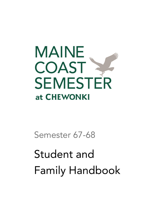

Semester 67-68

# Student and Family Handbook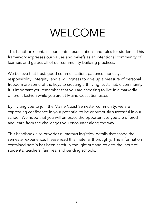# WELCOME

<span id="page-1-0"></span>This handbook contains our central expectations and rules for students. This framework expresses our values and beliefs as an intentional community of learners and guides all of our community-building practices.

We believe that trust, good communication, patience, honesty, responsibility, integrity, and a willingness to give up a measure of personal freedom are some of the keys to creating a thriving, sustainable community. It is important you remember that you are choosing to live in a markedly different fashion while you are at Maine Coast Semester.

By inviting you to join the Maine Coast Semester community, we are expressing confidence in your potential to be enormously successful in our school. We hope that you will embrace the opportunities you are offered and learn from the challenges you encounter along the way.

This handbook also provides numerous logistical details that shape the semester experience. Please read this material thoroughly. The information contained herein has been carefully thought out and reflects the input of students, teachers, families, and sending schools.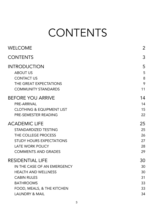# **CONTENTS**

<span id="page-2-0"></span>

| <b>WELCOME</b>                                                                                                                                                  | $\overline{2}$                   |
|-----------------------------------------------------------------------------------------------------------------------------------------------------------------|----------------------------------|
| <b>CONTENTS</b>                                                                                                                                                 | 3                                |
| <b>INTRODUCTION</b><br><b>ABOUT US</b><br><b>CONTACT US</b><br>THE GREAT EXPECTATIONS<br><b>COMMUNITY STANDARDS</b>                                             | 5<br>5<br>8<br>9<br>11           |
| <b>BEFORE YOU ARRIVE</b><br>PRE-ARRIVAL<br><b>CLOTHING &amp; EQUIPMENT LIST</b><br>PRE-SEMESTER READING                                                         | 14<br>14<br>15<br>22             |
| <b>ACADEMIC LIFE</b><br>STANDARDIZED TESTING<br>THE COLLEGE PROCESS<br><b>STUDY HOURS EXPECTATIONS</b><br><b>LATE WORK POLICY</b><br><b>COMMENTS AND GRADES</b> | 25<br>25<br>26<br>27<br>28<br>29 |
| <b>RESIDENTIAL LIFE</b><br>IN THE CASE OF AN EMERGENCY<br><b>HEALTH AND WELLNESS</b><br><b>CABIN RULES</b><br><b>BATHROOMS</b>                                  | 30<br>30<br>30<br>31             |
| FOOD, MEALS, & THE KITCHEN<br><b>LAUNDRY &amp; MAIL</b>                                                                                                         | 33<br>33<br>34                   |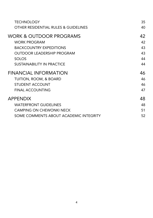| 35 |
|----|
| 40 |
| 42 |
| 42 |
| 43 |
| 43 |
| 44 |
| 44 |
| 46 |
| 46 |
| 46 |
| 47 |
| 48 |
| 48 |
| 51 |
| 52 |
|    |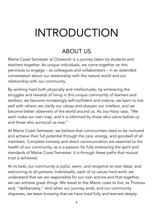# <span id="page-4-0"></span>INTRODUCTION

## ABOUT US

<span id="page-4-1"></span>Maine Coast Semester at Chewonki is a journey taken by students and teachers together. As unique individuals, we come together on this peninsula to engage – as colleagues and collaborators – in an extended conversation about our relationship with the natural world and our relationship with our community.

By working hard both physically and intellectually, by embracing the struggles and rewards of living in this unique community of learners and workers, we become increasingly self-confident and mature; we learn to live well with others; we clarify our values and sharpen our intellect, and we become better observers of the world around us. As Joy Harjo says, "We each make our own map, and it is informed by those who came before us and those who surround us now."

At Maine Coast Semester, we believe that communities need to be nurtured and achieve their full potential through the care, energy, and goodwill of all members. Complete honesty and direct communication are essential to the health of our community, as is a passion for fully embracing the spirit and standards of Maine Coast Semester. It is through these paths that mutual trust is achieved.

At its best, our community is joyful, warm, and receptive to new ideas, and welcoming to all persons. Individually, each of us values hard work; we understand that we are responsible for our own actions and that together, we can achieve great things. We travel to the Maine coast to live, as Thoreau said, "deliberately." And when our journey ends, and our community disperses, we leave knowing that we have lived fully and learned deeply.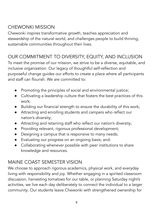## CHEWONKI MISSION

Chewonki inspires transformative growth, teaches appreciation and stewardship of the natural world, and challenges people to build thriving, sustainable communities throughout their lives.

## OUR COMMITMENT TO DIVERSITY, EQUITY, AND INCLUSION

To meet the promise of our mission, we strive to be a diverse, equitable, and inclusive organization. Our legacy of thoughtful self-reflection and purposeful change guides our efforts to create a place where all participants and staff can flourish. We are committed to:

- Promoting the principles of social and environmental justice;
- Cultivating a leadership culture that fosters the best practices of this work;
- Building our financial strength to ensure the durability of this work;
- Attracting and enrolling students and campers who reflect our nation's diversity;
- Attracting and retaining staff who reflect our nation's diversity;
- Providing relevant, rigorous professional development;
- Designing a campus that is responsive to many needs;
- Evaluating our progress on an ongoing basis; and:
- Collaborating whenever possible with peer institutions to share knowledge and resources.

## MAINE COAST SEMESTER VISION

We choose to approach rigorous academics, physical work, and everyday living with responsibility and joy. Whether engaging in a spirited classroom discussion, harvesting tomatoes for our table, or planning Saturday night's activities, we live each day deliberately to connect the individual to a larger community. Our students leave Chewonki with strengthened ownership for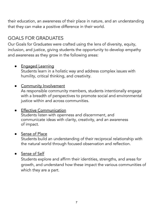their education, an awareness of their place in nature, and an understanding that they can make a positive difference in their world.

## GOALS FOR GRADUATES

Our Goals for Graduates were crafted using the lens of diversity, equity, inclusion, and justice, giving students the opportunity to develop empathy and awareness as they grow in the following areas:

#### **●** Engaged Learning

Students learn in a holistic way and address complex issues with humility, critical thinking, and creativity.

#### **●** Community Involvement

As responsible community members, students intentionally engage with a breadth of perspectives to promote social and environmental justice within and across communities.

#### **●** Effective Communication

Students listen with openness and discernment, and communicate ideas with clarity, creativity, and an awareness of impact.

#### **●** Sense of Place

Students build an understanding of their reciprocal relationship with the natural world through focused observation and reflection.

#### **●** Sense of Self

Students explore and affirm their identities, strengths, and areas for growth, and understand how these impact the various communities of which they are a part.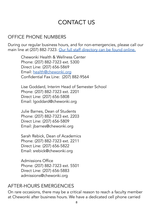## CONTACT US

#### <span id="page-7-0"></span>OFFICE PHONE NUMBERS

During our regular business hours, and for non-emergencies, please call our main line at (207) 882-7323. Our full staff [directory](https://chewonki.org/about/staff-directory/) can be found online.

Chewonki Health & Wellness Center Phone: (207) 882-7323 ext. 5300 Direct Line: (207) 656-5869 Email: [health@chewonki.org](mailto:health@chewonki.org) Confidential Fax Line: (207) 882-9564

Lise Goddard, Interim Head of Semester School Phone: (207) 882-7323 ext. 2201 Direct Line: (207) 656-5808 Email: lgoddard@chewonki.org

Julie Barnes, Dean of Students Phone: (207) 882-7323 ext. 2203 Direct Line: (207) 656-5809 Email: jbarnes@chewonki.org

Sarah Rebick, Dean of Academics Phone: (207) 882-7323 ext. 2211 Direct Line: (207) 656-5822 Email: srebick@chewonki.org

Admissions Office Phone: (207) 882-7323 ext. 5501 Direct Line: (207) 656-5883 admissions@chewonki.org

#### AFTER-HOURS EMERGENCIES

On rare occasions, there may be a critical reason to reach a faculty member at Chewonki after business hours. We have a dedicated cell phone carried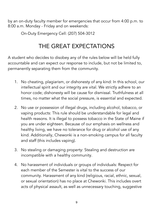by an on-duty faculty member for emergencies that occur from 4:00 p.m. to 8:00 a.m. Monday - Friday and on weekends:

On-Duty Emergency Cell: (207) 504-3012

# THE GREAT EXPECTATIONS

<span id="page-8-0"></span>A student who decides to disobey any of the rules below will be held fully accountable and can expect our response to include, but not be limited to, permanently separating them from the community.

- 1. No cheating, plagiarism, or dishonesty of any kind: In this school, our intellectual spirit and our integrity are vital. We strictly adhere to an honor code; dishonesty will be cause for dismissal. Truthfulness at all times, no matter what the social pressure, is essential and expected.
- 2. No use or possession of illegal drugs, including alcohol, tobacco, or vaping products: This rule should be understandable for legal and health reasons. It is illegal to possess tobacco in the State of Maine if you are under eighteen. Because of our emphasis on wellness and healthy living, we have no tolerance for drug or alcohol use of any kind. Additionally, Chewonki is a non-smoking campus for all faculty and staff (this includes vaping).
- 3. No stealing or damaging property: Stealing and destruction are incompatible with a healthy community.
- 4. No harassment of individuals or groups of individuals: Respect for each member of the Semester is vital to the success of our community. Harassment of any kind (religious, racial, ethnic, sexual, or sexual orientation) has no place at Chewonki. This includes overt acts of physical assault, as well as unnecessary touching, suggestive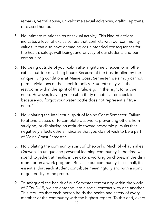remarks, verbal abuse, unwelcome sexual advances, graffiti, epithets, or biased humor.

- 5. No intimate relationships or sexual activity: This kind of activity indicates a level of exclusiveness that conflicts with our community values. It can also have damaging or unintended consequences for the health, safety, well-being, and privacy of our students and our community.
- 6. No being outside of your cabin after nighttime check-in or in other cabins outside of visiting hours: Because of the trust implied by the unique living conditions at Maine Coast Semester, we simply cannot permit violations of the check-in policy. Students may visit the restrooms within the spirit of this rule: e.g., in the night for a true need. However, leaving your cabin thirty minutes after check-in because you forgot your water bottle does not represent a "true need."
- 7. No violating the intellectual spirit of Maine Coast Semester: Failure to attend classes or to complete classwork, preventing others from studying, or displaying an attitude toward academic pursuits that negatively affects others indicates that you do not wish to be a part of Maine Coast Semester.
- 8. No violating the community spirit of Chewonki: Much of what makes Chewonki a unique and powerful learning community is the time we spend together: at meals, in the cabin, working on chores, in the dish room, or on a work program. Because our community is so small, it is essential that each student contribute meaningfully and with a spirit of generosity to the group.
- 9. To safeguard the health of our Semester community within the world of COVID-19, we are entering into a social contract with one another. This requires that each person holds the health and safety of every member of the community with the highest regard. To this end, every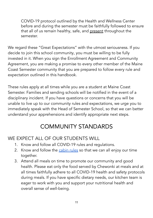COVID-19 protocol outlined by the Health and Wellness Center before and during the semester must be faithfully followed to ensure that all of us remain healthy, safe, and present throughout the semester.

We regard these "Great Expectations" with the utmost seriousness. If you decide to join this school community, you must be willing to be fully invested in it. When you sign the Enrollment Agreement and Community Agreement, you are making a promise to every other member of the Maine Coast Semester community that you are prepared to follow every rule and expectation outlined in this handbook.

These rules apply at all times while you are a student at Maine Coast Semester. Families and sending schools will be notified in the event of a disciplinary incident. If you have questions or concerns that you will be unable to live up to our community rules and expectations, we urge you to immediately speak with the Head of Semester School, so that we can better understand your apprehensions and identify appropriate next steps.

## COMMUNITY STANDARDS

## <span id="page-10-0"></span>WE EXPECT ALL OF OUR STUDENTS WILL

- 1. Know and follow all COVID-19 rules and regulations.
- 2. Know and follow the [cabin](#page-30-0) rules so that we can all enjoy our time together.
- 3. Attend all meals on time to promote our community and good health. Please eat only the food served by Chewonki at meals and at all times faithfully adhere to all COVID-19 health and safety protocols during meals. If you have specific dietary needs, our kitchen team is eager to work with you and support your nutritional health and overall sense of well-being.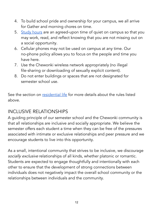- 4. To build school pride and ownership for your campus, we all arrive for Gather and morning chores on time.
- 5. [Study](#page-26-0) hours are an agreed-upon time of quiet on campus so that you may work, read, and reflect knowing that you are not missing out on a social opportunity.
- 6. Cellular phones may not be used on campus at any time. Our no-phone policy allows you to focus on the people and time you have here.
- 7. Use the Chewonki wireless network appropriately (no illegal file-sharing or downloading of sexually explicit content).
- 8. Do not enter buildings or spaces that are not designated for semester school use.

See the section on [residential](#page-29-0) life for more details about the rules listed above.

## INCLUSIVE RELATIONSHIPS

A guiding principle of our semester school and the Chewonki community is that all relationships are inclusive and socially appropriate. We believe the semester offers each student a time when they can be free of the pressures associated with intimate or exclusive relationships and peer pressure and we encourage students to live into this opportunity.

As a small, intentional community that strives to be inclusive, we discourage socially exclusive relationships of all kinds, whether platonic or romantic. Students are expected to engage thoughtfully and intentionally with each other to ensure that the development of strong connections between individuals does not negatively impact the overall school community or the relationships between individuals and the community.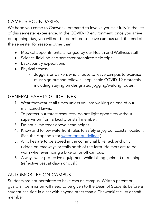## CAMPUS BOUNDARIES

We hope you come to Chewonki prepared to involve yourself fully in the life of this semester experience. In the COVID-19 environment, once you arrive on opening day, you will not be permitted to leave campus until the end of the semester for reasons other than:

- Medical appointments, arranged by our Health and Wellness staff
- Science field lab and semester organized field trips
- Backcountry expeditions
- Physical fitness:
	- Joggers or walkers who choose to leave campus to exercise must sign-out and follow all applicable COVID-19 protocols, including staying on designated jogging/walking routes.

## GENERAL SAFETY GUIDELINES

- 1. Wear footwear at all times unless you are walking on one of our manicured lawns.
- 2. To protect our forest resources, do not light open fires without supervision from a faculty or staff member.
- 3. Do not climb trees above head height.
- 4. Know and follow waterfront rules to safely enjoy our coastal location. (See the Appendix for waterfront [guidelines.](#page-47-1))
- 5. All bikes are to be stored in the communal bike rack and only ridden on roadways or trails north of the farm. Helmets are to be worn whenever riding a bike on or off campus.
- 6. Always wear protective equipment while biking (helmet) or running (reflective vest at dawn or dusk).

## AUTOMOBILES ON CAMPUS

Students are not permitted to have cars on campus. Written parent or guardian permission will need to be given to the Dean of Students before a student can ride in a car with anyone other than a Chewonki faculty or staff member.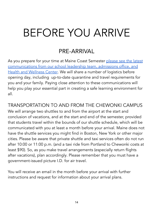# <span id="page-13-0"></span>BEFORE YOU ARRIVE

## PRE-ARRIVAL

<span id="page-13-1"></span>As you prepare for your time at Maine Coast Semester [please](https://docs.google.com/document/d/1TdQLmWGMSbk0e3paIM5ssCFBv5TJsQFxf36dz-fmCZw/edit) see the latest [communications](https://docs.google.com/document/d/1TdQLmWGMSbk0e3paIM5ssCFBv5TJsQFxf36dz-fmCZw/edit) from our school leadership team, admissions office, and Health and [Wellness](https://docs.google.com/document/d/1TdQLmWGMSbk0e3paIM5ssCFBv5TJsQFxf36dz-fmCZw/edit) Center. We will share a number of logistics before opening day, including up-to-date quarantine and travel requirements for you and your family. Paying close attention to these communications will help you play your essential part in creating a safe learning environment for all.

TRANSPORTATION TO AND FROM THE CHEWONKI CAMPUS We will arrange two shuttles to and from the airport at the start and conclusion of vacations, and at the start and end of the semester, provided that students travel within the bounds of our shuttle schedule, which will be communicated with you at least a month before your arrival. Maine does not have the shuttle services you might find in Boston, New York or other major cities. Please be aware that private shuttle and taxi services often do not run after 10:00 or 11:00 p.m. (and a taxi ride from Portland to Chewonki costs at least \$90). So, as you make travel arrangements (especially return flights after vacations), plan accordingly. Please remember that you must have a government-issued picture I.D. for air travel.

You will receive an email in the month before your arrival with further instructions and request for information about your arrival plans.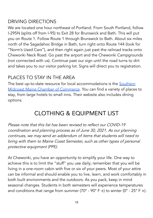#### DRIVING DIRECTIONS

We are located one hour northeast of Portland. From South Portland, follow I-295N (splits off from I-95) to Exit 28 for Brunswick and Bath. This will put you on Route 1. Follow Route 1 through Brunswick to Bath. About six miles north of the Sagadahoc Bridge in Bath, turn right onto Route 144 (look for "Norm's Used Cars"), and then right again just past the railroad tracks onto Chewonki Neck Road. Go past the airport and the Chewonki Campgrounds (not connected with us). Continue past our sign until the road turns to dirt and takes you to our visitor parking lot. Signs will direct you to registration.

#### PLACES TO STAY IN THE AREA

The best up-to-date resource for local accommodations is the [Southern](https://www.midcoastmaine.com/members/category/accomodations) Midcoast Maine Chamber of [Commerce](https://www.midcoastmaine.com/members/category/accomodations). You can find a variety of places to stay, from large hotels to small inns. Their website also includes dining options.

## CLOTHING & EQUIPMENT LIST

<span id="page-14-0"></span>Please note that this list has been revised to reflect our COVID-19 coordination and planning process as of June 30, 2021. As our planning continues, we may send an addendum of items that students will need to bring with them to Maine Coast Semester, such as other types of personal protective equipment (PPE).

At Chewonki, you have an opportunity to simplify your life. One way to achieve this is to limit the "stuff" you use daily; remember that you will be living in a one-room cabin with five or six of your peers. Most of your attire can be informal and should enable you to live, learn, and work comfortably in both built environments and the outdoors. As you pack, keep in mind seasonal changes. Students in both semesters will experience temperatures and conditions that range from summer (70° - 90° F  $\pm$ ) to winter (0° - 25° F  $\pm$ ).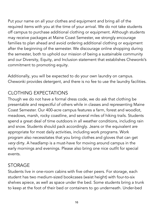Put your name on all your clothes and equipment and bring all of the required items with you at the time of your arrival. We do not take students off campus to purchase additional clothing or equipment. Although students may receive packages at Maine Coast Semester, we strongly encourage families to plan ahead and avoid ordering additional clothing or equipment after the beginning of the semester. We discourage online shopping during the semester, both to uphold our mission of being a sustainable community and our Diversity, Equity, and Inclusion statement that establishes Chewonki's commitment to promoting equity.

Additionally, you will be expected to do your own laundry on campus. Chewonki provides detergent, and there is no fee to use the laundry facilities.

## CLOTHING EXPECTATIONS

Though we do not have a formal dress code, we do ask that clothing be presentable and respectful of others while in classes and representing Maine Coast Semester. Our 400-acre campus features a farm, forest and woodlot, meadows, marsh, rocky coastline, and several miles of hiking trails. Students spend a great deal of time outdoors in all weather conditions, including rain and snow. Students should pack accordingly. Jeans or the equivalent are appropriate for most daily activities, including work programs. Work program also necessitates that you bring clothes and gloves that can get very dirty. A headlamp is a must-have for moving around campus in the early mornings and evenings. Please also bring one nice outfit for special events.

## STORAGE

Students live in one-room cabins with five other peers. For storage, each student has two medium-sized bookcases (waist height) with four-to-six shelves apiece, as well as space under the bed. Some students bring a trunk to keep at the foot of their bed or containers to go underneath. Under-bed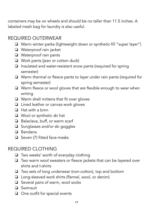containers may be on wheels and should be no taller than 11.5 inches. A labeled mesh bag for laundry is also useful.

#### REQUIRED OUTERWEAR

- ❏ Warm winter parka (lightweight down or synthetic-fill "super layer")
- ❏ Waterproof rain jacket
- ❏ Waterproof rain pants
- ❏ Work pants (jean or cotton duck)
- ❏ Insulated and water-resistant snow pants (required for spring semester)
- ❏ Warm thermal or fleece pants to layer under rain pants (required for spring semester)
- ❏ Warm fleece or wool gloves that are flexible enough to wear when writing
- ❏ Warm shell mittens that fit over gloves
- ❏ Lined leather or canvas work gloves
- ❏ Hat with a brim
- ❏ Wool or synthetic ski hat
- ❏ Balaclava, buff, or warm scarf
- ❏ Sunglasses and/or ski goggles
- ❏ Bandana
- ❏ Seven (7) fitted face-masks

#### REQUIRED CLOTHING

- ❏ Two weeks' worth of everyday clothing
- ❏ Two warm wool sweaters or fleece jackets that can be layered over shirts and t-shirts
- ❏ Two sets of long underwear (non-cotton), top and bottom
- ❏ Long-sleeved work shirts (flannel, wool, or denim)
- ❏ Several pairs of warm, wool socks
- ❏ Swimsuit
- ❏ One outfit for special events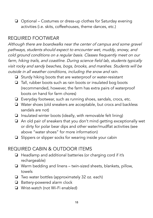❏ Optional – Costumes or dress-up clothes for Saturday evening activities (i.e. skits, coffeehouses, theme dances, etc.)

#### REQUIRED FOOTWEAR

Although there are boardwalks near the center of campus and some gravel pathways, students should expect to encounter wet, muddy, snowy, and cold ground conditions on <sup>a</sup> regular basis. Classes frequently meet on our farm, hiking trails, and coastline. During science field lab, students typically visit rocky and sandy beaches, bogs, brooks, and marshes. Students will be outside in all weather conditions, including the snow and rain.

- ❏ Sturdy hiking boots that are waterproof or water-resistant
- ❏ Tall, rubber boots such as rain boots or insulated bog boots (recommended, however, the farm has extra pairs of waterproof boots on hand for farm chores)
- ❏ Everyday footwear, such as running shoes, sandals, crocs, etc.
- ❏ Water shoes (old sneakers are acceptable, but crocs and backless sandals are not)
- ❏ Insulated winter boots (ideally, with removable felt lining)
- ❏ An old pair of sneakers that you don't mind getting exceptionally wet or dirty for polar bear dips and other water/mudflat activities (see above "water shoes" for more information)
- ❏ Slippers or slipper socks for wearing inside your cabin

#### REQUIRED CABIN & OUTDOOR ITEMS

- ❏ Headlamp and additional batteries (or charging cord if it's rechargeable)
- ❏ Warm bedding and linens twin-sized sheets, blankets, pillow, towels
- ❏ Two water bottles (approximately 32 oz. each)
- ❏ Battery-powered alarm clock
- ❏ Wrist-watch (not Wi-Fi enabled)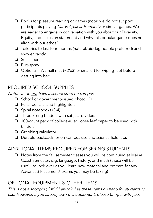- ❏ Books for pleasure reading or games (note: we do not support participants playing Cards Against Humanity or similar games. We are eager to engage in conversation with you about our Diversity, Equity, and Inclusion statement and why this popular game does not align with our ethos.)
- ❏ Toiletries to last four months (natural/biodegradable preferred) and shower caddy
- ❏ Sunscreen
- ❏ Bug-spray
- ❏ Optional A small mat (~2'x3' or smaller) for wiping feet before getting into bed

## REQUIRED SCHOOL SUPPLIES

Note: we do not have a school store on campus.

- ❏ School or government-issued photo I.D.
- ❏ Pens, pencils, and highlighters
- ❏ Spiral notebooks (3-4)
- ❏ Three 3-ring binders with subject dividers
- ❏ 100-count pack of college-ruled loose leaf paper to be used with binders
- ❏ Graphing calculator
- ❏ Durable backpack for on-campus use and science field labs

## ADDITIONAL ITEMS REQUIRED FOR SPRING STUDENTS

❏ Notes from the fall semester classes you will be continuing at Maine Coast Semester, e.g. language, history, and math (these will be useful to look over as you learn new material and prepare for any Advanced Placement ® exams you may be taking)

## OPTIONAL EQUIPMENT & OTHER ITEMS

This is not <sup>a</sup> shopping list! Chewonki has these items on hand for students to use. However, if you already own this equipment, please bring it with you.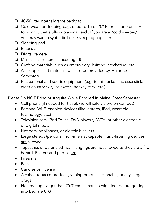- ❏ 40-50 liter internal-frame backpack
- ❏ Cold-weather sleeping bag, rated to 15 or 20° F for fall or 0 or 5° F for spring, that stuffs into a small sack. If you are a "cold sleeper," you may want a synthetic fleece sleeping bag liner.
- ❏ Sleeping pad
- ❏ Binoculars
- ❏ Digital camera
- ❏ Musical instruments (encouraged)
- ❏ Crafting materials, such as embroidery, knitting, crocheting, etc.
- ❏ Art supplies (art materials will also be provided by Maine Coast Semester)
- ❏ Recreational and sports equipment (e.g. tennis racket, lacrosse stick, cross-country skis, ice skates, hockey stick, etc.)

Please Do NOT Bring or Acquire While Enrolled in Maine Coast Semester

- Cell phone (if needed for travel, we will safely store on campus)
- Personal Wi-Fi enabled devices (like laptops, iPad, wearable technology, etc.)
- Television sets, iPod Touch, DVD players, DVDs, or other electronic or digital media
- Hot pots, appliances, or electric blankets
- Large stereos (personal, non-internet capable music-listening devices are allowed)
- Tapestries or other cloth wall hangings are not allowed as they are a fire hazard. Posters and photos are ok.
- Firearms
- Pets
- Candles or incense
- Alcohol, tobacco products, vaping products, cannabis, or any illegal drugs
- No area rugs larger than 2'x3' (small mats to wipe feet before getting into bed are OK)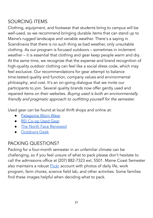### SOURCING ITEMS

Clothing, equipment, and footwear that students bring to campus will be well-used, so we recommend bringing durable items that can stand up to Maine's rugged landscape and variable weather. There's a saying in Scandinavia that there is no such thing as bad weather, only unsuitable clothing. As our program is focused outdoors – sometimes in inclement weather – it is essential that clothing and gear keep people warm and dry. At the same time, we recognize that the expense and brand recognition of high-quality outdoor clothing can feel like a social dress code, which may feel exclusive. Our recommendations for gear attempt to balance time-tested quality and function, company values and environmental philosophy, and cost. It's an on-going dialogue that we invite our participants to join. Several quality brands now offer gently used and repaired items on their websites. Buying used is both an environmentally friendly and pragmatic approach to outfitting yourself for the semester.

Used gear can be found at local thrift shops and online at:

- [Patagonia](https://wornwear.patagonia.com/) Worn Wear
- REI [Co-op](https://www.rei.com/used) Used Gear
- The North Face [Renewed](https://www.thenorthfacerenewed.com/)
- [Outdoors](https://www.outdoorsgeek.com/rent-it/) Geek

## PACKING QUESTIONS?

Packing for a four-month semester in an unfamiliar climate can be challenging, so if you feel unsure of what to pack please don't hesitate to call the admissions office at (207) 882-7323 ext. 5501. Maine Coast Semester also maintains a robust **[Flickr](https://www.flickr.com/photos/chewonki/collections/72157627630577806/)** account with photos of daily life, work program, farm chores, science field lab, and other activities. Some families find these images helpful when deciding what to pack.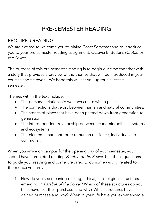# PRE-SEMESTER READING

#### <span id="page-21-0"></span>REQUIRED READING

We are excited to welcome you to Maine Coast Semester and to introduce you to your pre-semester reading assignment: Octavia E. Butler's Parable of the Sower.

The purpose of this pre-semester reading is to begin our time together with a story that provides a preview of the themes that will be introduced in your courses and fieldwork. We hope this will set you up for a successful semester.

Themes within the text include:

- The personal relationship we each create with a place.
- The connections that exist between human and natural communities.
- The stories of place that have been passed down from generation to generation.
- The interdependent relationship between economic/political systems and ecosystems.
- The elements that contribute to human resilience, individual and communal.

When you arrive on campus for the opening day of your semester, you should have completed reading Parable of the Sower. Use these questions to guide your reading and come prepared to do some writing related to them once you arrive:

1. How do you see meaning-making, ethical, and religious structures emerging in Parable of the Sower? Which of these structures do you think have lost their purchase, and why? Which structures have gained purchase and why? When in your life have you experienced a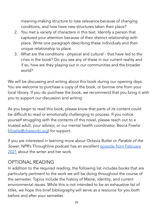meaning-making structure to lose relevance because of changing conditions, and how have new structures taken their place?

- 2. You met a variety of characters in this text. Identify a person that captured your attention because of their distinct relationship with place. Write one paragraph describing these individuals and their unique relationship to place.
- 3. What are the conditions physical and cultural that have led to the crisis in the book? Do you see any of these in our current reality and if so, how are they playing out in our communities and the broader world?

We will be discussing and writing about this book during our opening days. You are welcome to purchase a copy of the book, or borrow one from your local library. If you do purchase the book, we recommend that you bring it with you to support our discussion and writing.

As you begin to read this book, please know that parts of its content could be difficult to read or emotionally challenging to process. If you notice yourself struggling with the contents of this novel, please reach out to a trusted adult, your advisor, or our mental health coordinator, Becca Fowlie [\(rfowlie@chewonki.org\)](mailto:rfowlie@chewonki.org) for support.

If you are interested in learning more about Octavia Butler or Parable of the Sower, NPR's Throughline podcast has an excellent episode from [February](https://www.npr.org/2021/02/16/968498810/how-octavia-butlers-sci-fi-dystopia-became-a-constant-in-a-mans-evolution) [2021](https://www.npr.org/2021/02/16/968498810/how-octavia-butlers-sci-fi-dystopia-became-a-constant-in-a-mans-evolution) about the writer and her work.

#### OPTIONAL READING

In addition to the required reading, the following list includes books that are particularly pertinent to the work we will be doing throughout the course of the semester. Topics include the history of Maine, identity, and current environmental issues. While this is not intended to be an exhaustive list of titles, we hope this brief bibliography will serve as a resource for you both before and after your semester.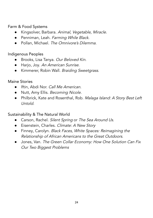Farm & Food Systems

- Kingsolver, Barbara. Animal, Vegetable, Miracle.
- Penniman, Leah. Farming While Black.
- Pollan, Michael. The Omnivore's Dilemma.

#### Indigenous Peoples

- Brooks, Lisa Tanya. Our Beloved Kin.
- Harjo, Joy. An American Sunrise.
- Kimmerer, Robin Wall. Braiding Sweetgrass.

#### Maine Stories

- Iftin, Abdi Nor. Call Me American.
- Nutt, Amy Ellis. Becoming Nicole.
- Philbrick, Kate and Rosenthal, Rob. Malaga Island: A Story Best Left Untold.

#### Sustainability & The Natural World

- Carson, Rachel, Silent Spring or The Sea Around Us.
- Eisenstein, Charles. Climate: A New Story
- Finney, Carolyn. Black Faces, White Spaces: Reimagining the Relationship of African Americans to the Great Outdoors.
- Jones, Van. The Green Collar Economy: How One Solution Can Fix Our Two Biggest Problems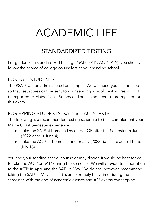# <span id="page-24-0"></span>ACADEMIC LIFE

## STANDARDIZED TESTING

<span id="page-24-1"></span>For guidance in standardized testing (PSAT®, SAT®, ACT®, AP®), you should follow the advice of college counselors at your sending school.

#### FOR FALL STUDENTS:

The PSAT ® will be administered on campus. We will need your school code so that test scores can be sent to your sending school. Test scores will not be reported to Maine Coast Semester. There is no need to pre-register for this exam.

#### FOR SPRING STUDENTS: SAT® and ACT® TESTS

The following is a recommended testing schedule to best complement your Maine Coast Semester experience:

- Take the SAT ® at home in December OR after the Semester in June  $(2022 \text{ date is line 4})$ .
- Take the ACT<sup>®</sup> at home in June or July (2022 dates are June 11 and July 16).

You and your sending school counselor may decide it would be best for you to take the ACT ® or SAT ® during the semester. We will provide transportation to the ACT ® in April and the SAT ® in May. We do not, however, recommend taking the SAT ® in May, since it is an extremely busy time during the semester, with the end of academic classes and AP ® exams overlapping.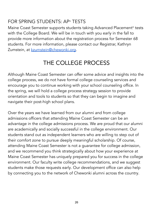## FOR SPRING STUDENTS: AP® TESTS

Maine Coast Semester supports students taking Advanced Placement ® tests with the College Board. We will be in touch with you early in the fall to provide more information about the registration process for Semester 68 students. For more information, please contact our Registrar, Kathryn Zumstein, at [kzumstein@chewonki.org](mailto:kzumstein@chewonki.org).

# THE COLLEGE PROCESS

<span id="page-25-0"></span>Although Maine Coast Semester can offer some advice and insights into the college process, we do not have formal college counseling services and encourage you to continue working with your school counseling office. In the spring, we will hold a college process strategy session to provide orientation and tools to students so that they can begin to imagine and navigate their post-high school plans.

Over the years we have learned from our alumni and from college admissions officers that attending Maine Coast Semester can be an advantage in the college admissions process. We are proud that our alumni are academically and socially successful in the college environment. Our students stand out as independent learners who are willing to step out of their comfort zone to pursue deeply meaningful scholarship. Of course, attending Maine Coast Semester is not a guarantee for college admission, and we recommend you think strategically about how your experience at Maine Coast Semester has uniquely prepared you for success in the college environment. Our faculty write college recommendations, and we suggest students make those requests early. Our development office can also help by connecting you to the network of Chewonki alumni across the country.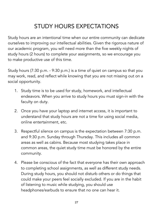# STUDY HOURS EXPECTATIONS

<span id="page-26-0"></span>Study hours are an intentional time when our entire community can dedicate ourselves to improving our intellectual abilities. Given the rigorous nature of our academic program, you will need more than the five weekly nights of study hours (2 hours) to complete your assignments, so we encourage you to make productive use of this time.

Study hours (7:30 p.m. - 9:30 p.m.) is a time of quiet on campus so that you may work, read, and reflect while knowing that you are not missing out on a social opportunity.

- 1. Study time is to be used for study, homework, and intellectual endeavors. When you arrive to study hours you must sign-in with the faculty on duty.
- 2. Once you have your laptop and internet access, it is important to understand that study hours are not a time for using social media, online entertainment, etc.
- 3. Respectful silence on campus is the expectation between 7:30 p.m. and 9:30 p.m. Sunday through Thursday. This includes all common areas as well as cabins. Because most studying takes place in common areas, the quiet study time must be honored by the entire community.
- 4. Please be conscious of the fact that everyone has their own approach to completing school assignments, as well as different study needs. During study hours, you should not disturb others or do things that could make your peers feel socially excluded. If you are in the habit of listening to music while studying, you should use headphones/earbuds to ensure that no one can hear it.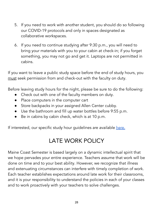- 5. If you need to work with another student, you should do so following our COVID-19 protocols and only in spaces designated as collaborative workspaces.
- 6. If you need to continue studying after 9:30 p.m., you will need to bring your materials with you to your cabin at check-in; if you forget something, you may not go and get it. Laptops are not permitted in cabins.

If you want to leave a public study space before the end of study hours, you must seek permission from and check-out with the faculty on duty.

Before leaving study hours for the night, please be sure to do the following:

- Check out with one of the faculty members on duty.
- Place computers in the computer cart
- Store backpacks in your assigned Allen Center cubby.
- Use the bathroom and fill up water bottles before 9:55 p.m.
- Be in cabins by cabin check, which is at 10 p.m.

<span id="page-27-0"></span>If interested, our specific study hour quidelines are available [here.](https://docs.google.com/document/d/1ExgLLNQiuAIqQHY_0SBNfJ3Y6FItjkYT2SAzgUBE0pU/edit#heading=h.dr04kaxuk0ii)

# LATE WORK POLICY

Maine Coast Semester is based largely on a dynamic intellectual spirit that we hope pervades your entire experience. Teachers assume that work will be done on time and to your best ability. However, we recognize that illness and extenuating circumstances can interfere with timely completion of work. Each teacher establishes expectations around late work for their classrooms, and it is your responsibility to understand the policies in each of your classes and to work proactively with your teachers to solve challenges.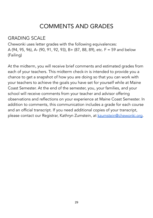## COMMENTS AND GRADES

## <span id="page-28-0"></span>GRADING SCALE

Chewonki uses letter grades with the following equivalences: A (94, 95, 96), A- (90, 91, 92, 93), B+ (87, 88, 89), etc. F = 59 and below (Failing)

At the midterm, you will receive brief comments and estimated grades from each of your teachers. This midterm check-in is intended to provide you a chance to get a snapshot of how you are doing so that you can work with your teachers to achieve the goals you have set for yourself while at Maine Coast Semester. At the end of the semester, you, your families, and your school will receive comments from your teacher and advisor offering observations and reflections on your experience at Maine Coast Semester. In addition to comments, this communication includes a grade for each course and an official transcript. If you need additional copies of your transcript, please contact our Registrar, Kathryn Zumstein, at [kzumstein@chewonki.org.](mailto:kzumstein@chewonki.org)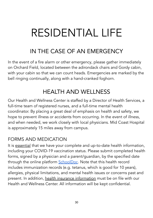# <span id="page-29-0"></span>RESIDENTIAL LIFE

# IN THE CASE OF AN EMERGENCY

<span id="page-29-1"></span>In the event of a fire alarm or other emergency, please gather immediately on Orchard Field, located between the adirondack chairs and Gordy cabin, with your cabin so that we can count heads. Emergencies are marked by the bell ringing continually, along with a hand-cranked foghorn.

# HEALTH AND WELLNESS

<span id="page-29-2"></span>Our Health and Wellness Center is staffed by a Director of Health Services, a full-time team of registered nurses, and a full-time mental health coordinator. By placing a great deal of emphasis on health and safety, we hope to prevent illness or accidents from occurring. In the event of illness, and when needed, we work closely with local physicians. Mid Coast Hospital is approximately 15 miles away from campus.

#### FORMS AND MEDICATION

It is essential that we have your complete and up-to-date health information, including your COVID-19 vaccination status. Please submit completed health forms, signed by a physician and a parent/guardian, by the specified date through the online platform [SchoolDoc](https://app.schooldoc.com/!/home/auth/login). Note that this health record includes immunization records (e.g. tetanus, which is good for 10 years), allergies, physical limitations, and mental health issues or concerns past and present. In addition, health insurance information must be on file with our Health and Wellness Center. All information will be kept confidential.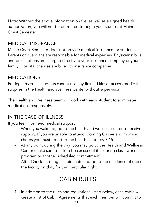Note: Without the above information on file, as well as a signed health authorization, you will not be permitted to begin your studies at Maine Coast Semester.

## MEDICAL INSURANCE

Maine Coast Semester does not provide medical insurance for students. Parents or guardians are responsible for medical expenses. Physicians' bills and prescriptions are charged directly to your insurance company or your family. Hospital charges are billed to insurance companies.

#### MEDICATIONS

For legal reasons, students cannot use any first aid kits or access medical supplies in the Health and Wellness Center without supervision.

The Health and Wellness team will work with each student to administer medications responsibly.

## IN THE CASE OF ILLNESS:

If you feel ill or need medical support

- When you wake up, go to the health and wellness center to receive support. If you are unable to attend Morning Gather and morning chores you must report to the health center by 7:15.
- At any point during the day, you may go to the Health and Wellness Center (make sure to ask to be excused if it is during class, work program or another scheduled commitment).
- After Check-in, bring a cabin mate and go to the residence of one of the faculty on duty for that particular night.

# CABIN RULES

<span id="page-30-0"></span>1. In addition to the rules and regulations listed below, each cabin will create a list of Cabin Agreements that each member will commit to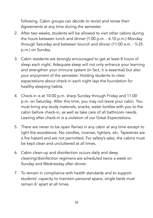following. Cabin groups can decide to revisit and revise their Agreements at any time during the semester.

- 2. After two weeks, students will be allowed to visit other cabins during the hours between lunch and dinner (1:00 p.m. - 6:10 p.m.) Monday through Saturday and between brunch and dinner (11:00 a.m. - 5:25 p.m.) on Sunday.
- 3. Cabin residents are strongly encouraged to get at least 8 hours of sleep each night. Adequate sleep will not only enhance your learning and strengthen your immune system (in fact, it is essential) but also your enjoyment of the semester. Holding students to clear expectations about check-in each night lays the foundation for healthy sleeping habits.
- 4. Check-in is at 10:00 p.m. sharp Sunday through Friday and 11:00 p.m. on Saturday. After this time, you may not leave your cabin. You must bring any study materials, snacks, water bottles with you to the cabin before check-in, as well as take care of all bathroom needs. Leaving after check-in is a violation of our Great Expectations.
- 5. There are never to be open flames in any cabin at any time except to light the woodstove. No candles, incense, lighters, etc. Tapestries are a fire hazard and are not permitted. For safety's sake, the cabins must be kept clean and uncluttered at all times.
- 6. Cabin clean-up and disinfection occurs daily and deep cleaning/disinfection regimens are scheduled twice a week on Sunday and Wednesday after dinner.
- 7. To remain in compliance with health standards and to support students' capacity to maintain personal space, single beds must remain 6' apart at all times.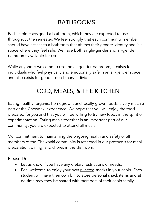# BATHROOMS

<span id="page-32-0"></span>Each cabin is assigned a bathroom, which they are expected to use throughout the semester. We feel strongly that each community member should have access to a bathroom that affirms their gender identity and is a space where they feel safe. We have both single-gender and all-gender bathrooms available for use.

While anyone is welcome to use the all-gender bathroom, it exists for individuals who feel physically and emotionally safe in an all-gender space and also exists for gender non-binary individuals.

# FOOD, MEALS, & THE KITCHEN

<span id="page-32-1"></span>Eating healthy, organic, homegrown, and locally grown foods is very much a part of the Chewonki experience. We hope that you will enjoy the food prepared for you and that you will be willing to try new foods in the spirit of experimentation. Eating meals together is an important part of our community; you are expected to attend all meals.

Our commitment to maintaining the ongoing health and safety of all members of the Chewonki community is reflected in our protocols for meal preparation, dining, and chores in the dishroom.

#### Please Do

- Let us know if you have any dietary restrictions or needs.
- Feel welcome to enjoy your own nut-free snacks in your cabin. Each student will have their own bin to store personal snack items and at no time may they be shared with members of their cabin family.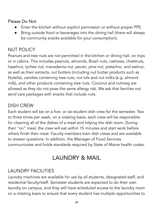Please Do Not

- Enter the kitchen without explicit permission or without proper PPE.
- Bring outside food or beverages into the dining hall (there will always be community snacks available for your consumption).

## NUT POLICY

Peanuts and tree nuts are not permitted in the kitchen or dining hall, on trips or in cabins. This includes peanuts, almonds, Brazil nuts, cashews, chestnuts, hazelnut, lychee nut, macadamia nut, pecan, pine nut, pistachio, and walnut, as well as their extracts, nut butters (including nut butter products such as Nutella), candies containing tree nuts, nut oils and nut milks (e.g. almond milk), and other products containing tree nuts. Coconut and nutmeg are allowed as they do not pose the same allergy risk. We ask that families not send care packages with snacks that include nuts.

#### DISH CREW

Each student will be on a five- or six-student dish crew for the semester. Two to three times per week, on a rotating basis, each crew will be responsible for cleaning all of the dishes of a meal and tidying the dish room. During their "on" meal, the crew will eat within 15 minutes and start work before others finish their meal. Faculty members train dish crews and are available to answer questions. In addition, the Manager of Food Services communicates and holds standards required by State of Maine health codes.

# LAUNDRY & MAIL

## <span id="page-33-0"></span>LAUNDRY FACILITIES

Laundry machines are available for use by all students, designated staff, and residential faculty/staff. Semester students are expected to do their own laundry on campus, and they will have scheduled access to the laundry room on a rotating basis to ensure that every student has multiple opportunities to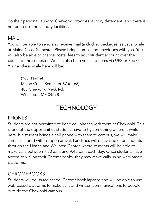do their personal laundry. Chewonki provides laundry detergent, and there is no fee to use the laundry facilities.

#### MAIL

You will be able to send and receive mail (including packages) as usual while at Maine Coast Semester. Please bring stamps and envelopes with you. You will also be able to charge postal fees to your student account over the course of the semester. We can also help you ship items via UPS or FedEx. Your address while here will be:

(Your Name) Maine Coast Semester 67 (or 68) 485 Chewonki Neck Rd. Wiscasset, ME 04578

# TECHNOLOGY

#### <span id="page-34-0"></span>**PHONES**

Students are not permitted to keep cell phones with them at Chewonki. This is one of the opportunities students have to try something different while here. If a student brings a cell phone with them to campus, we will make sure it is stored with us upon arrival. Landlines will be available for students through the Health and Wellness Center, where students will be able to make calls between 7:30 a.m. and 9:45 p.m. each day. Once students have access to wifi on their Chromebooks, they may make calls using web-based platforms.

#### **CHROMEBOOKS**

Students will be issued school Chromebook laptops and will be able to use web-based platforms to make calls and written communications to people outside the Chewonki campus.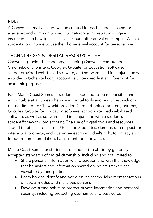#### EMAIL

A Chewonki email account will be created for each student to use for academic and community use. Our network administrator will give instructions on how to access this account after arrival on campus. We ask students to continue to use their home email account for personal use.

## TECHNOLOGY & DIGITAL RESOURCE USE

Chewonki-provided technology, including Chewonki computers, Chromebooks, printers, Google's G-Suite for Education software, school-provided web-based software, and software used in conjunction with a student's @chewonki.org account, is to be used first and foremost for academic purposes.

Each Maine Coast Semester student is expected to be responsible and accountable at all times when using digital tools and resources, including, but not limited to Chewonki-provided Chromebook computers, printers, Google's G-Suite for Education software, school-provided web-based software, as well as software used in conjunction with a student's student@chewonki.org account. The use of digital tools and resources should be ethical; reflect our Goals for Graduates; demonstrate respect for intellectual property; and guarantee each individual's right to privacy and freedom from intimidation, harassment, or annoyance.

Maine Coast Semester students are expected to abide by generally accepted standards of digital citizenship, including and not limited to:

- Share personal information with discretion and with the knowledge that behaviors and information shared online are tracked and viewable by third-parties
- Learn how to identify and avoid online scams, false representations on social media, and malicious persons
- Develop strong habits to protect private information and personal security, including protecting usernames and passwords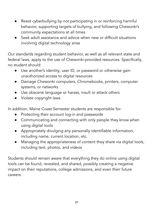- Resist cyberbullying by not participating in or reinforcing harmful behavior, supporting targets of bullying, and following Chewonki's community expectations at all times
- Seek adult assistance and advice when new or difficult situations involving digital technology arise

Our standards regarding student behavior, as well as all relevant state and federal laws, apply to the use of Chewonki-provided resources. Specifically, no student should:

- Use another's identity, user ID, or password or otherwise gain unauthorized access to digital resources
- Damage Chewonki computers, Chromebooks, printers, computer systems, or networks
- Use obscene language or harass, insult or attack others
- Violate copyright laws

In addition, Maine Coast Semester students are responsible for:

- Protecting their account log-in and passwords
- Communicating and connecting with only people they know when using digital tools
- Appropriately divulging any personally identifiable information, including name, current location, etc.
- Managing the appropriateness of content they share via digital tools, including text, photos, and videos

Students should remain aware that everything they do online using digital tools can be found, revealed, and shared, possibly creating a negative impact on their reputations, college admissions, and even their future careers.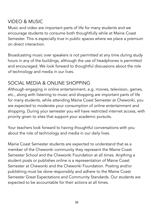#### VIDEO & MUSIC

Music and video are important parts of life for many students and we encourage students to consume both thoughtfully while at Maine Coast Semester. This is especially true in public spaces where we place a premium on direct interaction.

Broadcasting music over speakers is not permitted at any time during study hours in any of the buildings, although the use of headphones is permitted and encouraged. We look forward to thoughtful discussions about the role of technology and media in our lives.

## SOCIAL MEDIA & ONLINE SHOPPING

Although engaging in online entertainment, e.g. movies, television, games, etc., along with listening to music and shopping are important parts of life for many students, while attending Maine Coast Semester at Chewonki, you are expected to moderate your consumption of online entertainment and shopping. During your semester you will have restricted internet access, with priority given to sites that support your academic pursuits.

Your teachers look forward to having thoughtful conversations with you about the role of technology and media in our daily lives.

Maine Coast Semester students are expected to understand that as a member of the Chewonki community they represent the Maine Coast Semester School and the Chewonki Foundation at all times. Anything a student posts or publishes online is a representation of Maine Coast Semester at Chewonki and the Chewonki Foundation. Posting and/or publishing must be done responsibly and adhere to the Maine Coast Semester Great Expectations and Community Standards. Our students are expected to be accountable for their actions at all times.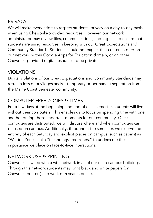#### PRIVACY

We will make every effort to respect students' privacy on a day-to-day basis when using Chewonki-provided resources. However, our network administrator may review files, communications, and log files to ensure that students are using resources in keeping with our Great Expectations and Community Standards. Students should not expect that content stored on our network, within Google Apps for Education domain, or on other Chewonki-provided digital resources to be private.

#### VIOLATIONS

Digital violations of our Great Expectations and Community Standards may result in loss of privileges and/or temporary or permanent separation from the Maine Coast Semester community.

#### COMPUTER-FREE ZONES & TIMES

For a few days at the beginning and end of each semester, students will live without their computers. This enables us to focus on spending time with one another during these important moments for our community. Once computers are distributed, we will discuss where and when computers can be used on campus. Additionally, throughout the semester, we reserve the entirety of each Saturday and explicit places on campus (such as cabins) as "Walden Zones," aka "technology-free zones," to underscore the importance we place on face-to-face interactions.

## NETWORK USE & PRINTING

Chewonki is wired with a wi-fi network in all of our main-campus buildings. Through this network students may print black and white papers (on Chewonki printers) and work or research online.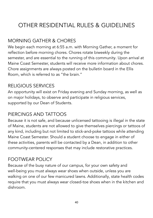# <span id="page-39-0"></span>OTHER RESIDENTIAL RULES & GUIDELINES

## MORNING GATHER & CHORES

We begin each morning at 6:55 a.m. with Morning Gather, a moment for reflection before morning chores. Chores rotate biweekly during the semester, and are essential to the running of this community. Upon arrival at Maine Coast Semester, students will receive more information about chores. Chore assignments are always posted on the bulletin board in the Ellis Room, which is referred to as "the brain."

#### RELIGIOUS SERVICES

An opportunity will exist on Friday evening and Sunday morning, as well as on major holidays, to observe and participate in religious services, supported by our Dean of Students.

#### PIERCINGS AND TATTOOS

Because it is not safe, and because unlicensed tattooing is illegal in the state of Maine, students are not allowed to give themselves piercings or tattoos of any kind, including but not limited to stick-and-poke tattoos while attending Maine Coast Semester. Should a student choose to engage in either of these activities, parents will be contacted by a Dean, in addition to other community-centered responses that may include restorative practices.

#### FOOTWEAR POLICY

Because of the busy nature of our campus, for your own safety and well-being you must always wear shoes when outside, unless you are walking on one of our few manicured lawns. Additionally, state health codes require that you must always wear closed-toe shoes when in the kitchen and dishroom.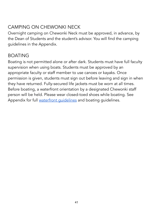## CAMPING ON CHEWONKI NECK

Overnight camping on Chewonki Neck must be approved, in advance, by the Dean of Students and the student's advisor. You will find the camping guidelines in the Appendix.

#### BOATING

Boating is not permitted alone or after dark. Students must have full faculty supervision when using boats. Students must be approved by an appropriate faculty or staff member to use canoes or kayaks. Once permission is given, students must sign out before leaving and sign in when they have returned. Fully-secured life jackets must be worn at all times. Before boating, a waterfront orientation by a designated Chewonki staff person will be held. Please wear closed-toed shoes while boating. See Appendix for full waterfront quidelines and boating [guidelines](#page-47-1).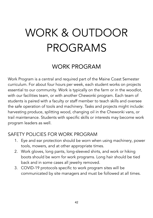# <span id="page-41-0"></span>WORK & OUTDOOR PROGRAMS

## WORK PROGRAM

<span id="page-41-1"></span>Work Program is a central and required part of the Maine Coast Semester curriculum. For about four hours per week, each student works on projects essential to our community. Work is typically on the farm or in the woodlot, with our facilities team, or with another Chewonki program. Each team of students is paired with a faculty or staff member to teach skills and oversee the safe operation of tools and machinery. Tasks and projects might include: harvesting produce, splitting wood, changing oil in the Chewonki vans, or trail maintenance. Students with specific skills or interests may become work program leaders as well.

#### SAFETY POLICIES FOR WORK PROGRAM

- 1. Eye and ear protection should be worn when using machinery, power tools, mowers, and at other appropriate times.
- 2. Work gloves, long pants, long-sleeved shirts, and work or hiking boots should be worn for work programs. Long hair should be tied back and in some cases all jewelry removed.
- 3. COVID-19 protocols specific to work program sites will be communicated by site managers and must be followed at all times.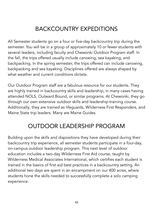# BACKCOUNTRY EXPEDITIONS

<span id="page-42-0"></span>All Semester students go on a four or five-day backcountry trip during the semester. You will be in a group of approximately 10 or fewer students with several leaders, including faculty and Chewonki Outdoor Program staff. In the fall, the trips offered usually include canoeing, sea kayaking, and backpacking. In the spring semester, the trips offered can include canoeing, backpacking and sea kayaking. Disciplines offered are always shaped by what weather and current conditions dictate.

Our Outdoor Program staff are a fabulous resource for our students. They are highly trained in backcountry skills and leadership, in many cases having attended NOLS, Outward Bound, or similar programs. At Chewonki, they go through our own extensive outdoor skills and leadership-training course. Additionally, they are trained as lifeguards, Wilderness First Responders, and Maine State trip leaders. Many are Maine Guides.

## OUTDOOR LEADERSHIP PROGRAM

<span id="page-42-1"></span>Building upon the skills and dispositions they have developed during their backcountry trip experience, all semester students participate in a four-day, on-campus outdoor leadership program. This next level of outdoor education includes a two-day Wilderness First Aid course, taught by Wilderness Medical Associates International, which certifies each student is trained in the basics of first aid best practices in a backcountry setting. An additional two days are spent in an encampment on our 400 acres, where students hone the skills needed to successfully complete a solo camping experience.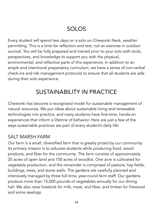# SOLOS

<span id="page-43-0"></span>Every student will spend two days on a solo on Chewonki Neck, weather permitting. This is a time for reflection and rest, not an exercise in outdoor survival. You will be fully prepared and trained prior to your solo with tools, perspectives, and knowledge to support you with the physical, environmental, and reflective parts of this experience. In addition to an ample and intentional preparatory curriculum, we have a series of non-verbal check-ins and risk management protocols to ensure that all students are safe during their solo experience.

# SUSTAINABILITY IN PRACTICE

<span id="page-43-1"></span>Chewonki has become a recognized model for sustainable management of natural resources. We put ideas about sustainable living and renewable technologies into practice, and many students have first-time, hands-on experiences that inform a lifetime of behavior. Here are just a few of the ways sustainable practices are part of every student's daily life:

#### SAIT MARSH FARM

Our farm is a small, diversified farm that is greatly prized by our community. Its primary mission is to educate students while producing food, wood products, and fiber for the community. The farm consists of approximately 25 acres of open land and 150 acres of woodlot. One acre is cultivated for vegetable production, and the remainder is comprised of pasture, hay fields, buildings, trees, and stone walls. The gardens are carefully planned and intensively managed by three full-time, year-round farm staff. Our gardens produce more than 15,000 pounds of vegetables annually for our dining hall. We also raise livestock for milk, meat, and fiber, and timber for firewood and some sawlogs.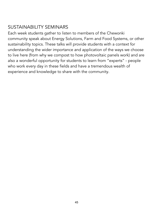## SUSTAINABILITY SEMINARS

Each week students gather to listen to members of the Chewonki community speak about Energy Solutions, Farm and Food Systems, or other sustainability topics. These talks will provide students with a context for understanding the wider importance and application of the ways we choose to live here (from why we compost to how photovoltaic panels work) and are also a wonderful opportunity for students to learn from "experts" - people who work every day in these fields and have a tremendous wealth of experience and knowledge to share with the community.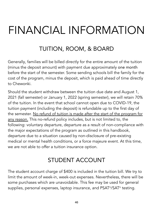# <span id="page-45-0"></span>FINANCIAL INFORMATION

# TUITION, ROOM, & BOARD

<span id="page-45-1"></span>Generally, families will be billed directly for the entire amount of the tuition (minus the deposit amount) with payment due approximately one month before the start of the semester. Some sending schools bill the family for the cost of the program, minus the deposit, which is paid ahead of time directly to Chewonki.

Should the student withdraw between the tuition due date and August 1, 2021 (fall semester) or January 1, 2022 (spring semester), we will retain 70% of the tuition. In the event that school cannot open due to COVID-19, the tuition payment (including the deposit) is refundable up to the first day of the semester. No refund of tuition is made after the start of the program for any reason. This no-refund policy includes, but is not limited to, the following: voluntary departure, departure as a result of non-compliance with the major expectations of the program as outlined in this handbook, departure due to a situation caused by non-disclosure of pre-existing medical or mental health conditions, or a force majeure event. At this time, we are not able to offer a tuition insurance option.

# STUDENT ACCOUNT

<span id="page-45-2"></span>The student account charge of \$400 is included in the tuition bill. We try to limit the amount of week-in, week-out expenses. Nevertheless, there will be some purchases which are unavoidable. This fee may be used for general supplies, personal expenses, laptop insurance, and PSAT ®/SAT ® testing.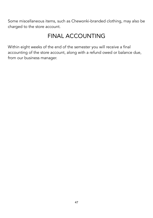Some miscellaneous items, such as Chewonki-branded clothing, may also be charged to the store account.

## FINAL ACCOUNTING

<span id="page-46-0"></span>Within eight weeks of the end of the semester you will receive a final accounting of the store account, along with a refund owed or balance due, from our business manager.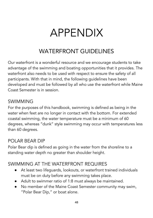# APPENDIX

# WATERFRONT GUIDELINES

<span id="page-47-1"></span><span id="page-47-0"></span>Our waterfront is a wonderful resource and we encourage students to take advantage of the swimming and boating opportunities that it provides. The waterfront also needs to be used with respect to ensure the safety of all participants. With that in mind, the following guidelines have been developed and must be followed by all who use the waterfront while Maine Coast Semester is in session.

#### **SWIMMING**

For the purposes of this handbook, swimming is defined as being in the water when feet are no longer in contact with the bottom. For extended coastal swimming, the water temperature must be a minimum of 60 degrees, whereas "dunk" style swimming may occur with temperatures less than 60 degrees.

#### POLAR BEAR DIP

Polar Bear dip is defined as going in the water from the shoreline to a standing water depth no greater than shoulder height.

#### SWIMMING AT THE WATERFRONT REQUIRES

- At least two lifeguards, lookouts, or waterfront trained individuals must be on duty before any swimming takes place.
- Adult to swimmer ratio of 1:8 must always be maintained.
- No member of the Maine Coast Semester community may swim, "Polar Bear Dip," or boat alone.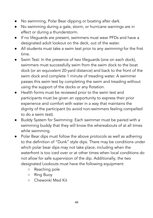- No swimming, Polar Bear dipping or boating after dark.
- No swimming during a gale, storm, or hurricane warnings are in effect or during a thunderstorm.
- If no lifeguards are present, swimmers must wear PFDs and have a designated adult lookout on the deck, out of the water.
- All students must take a swim test prior to any *swimming* for the first time.
- Swim Test: In the presence of two lifeguards (one on each dock), swimmers must successfully swim from the swim dock to the boat dock (or an equivalent 20-yard distance) and back to the front of the swim dock and complete 1 minute of treading water. A swimmer passes this swim test by completing the swim and treading without using the support of the docks or any flotation.
- Health forms must be reviewed prior to the swim test and participants must be given an opportunity to express their prior experience and comfort with water in a way that maintains the dignity of the participant (to avoid non-swimmers feeling compelled to do a swim test).
- Buddy System for Swimming: Each swimmer must be paired with a swimming buddy that they will know the whereabouts of at all times while swimming.
- Polar Bear dips must follow the above protocols as well as adhering to the definition of "Dunk" style dips. There may be conditions under which polar bear dips may not take place; including when the waterfront is too iced over or at other times when local conditions do not allow for safe supervision of the dip. Additionally, the two designated Lookouts must have the following equipment:
	- Reaching pole
	- Ring Buoy
	- Chewonki Med Kit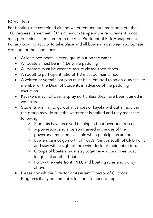## BOATING

For boating, the combined air and water temperature must be more than 100 degrees Fahrenheit. If this minimum temperature requirement is not met, permission is required from the Vice President of Risk Management. For any boating activity to take place and all boaters must wear appropriate clothing for the conditions.

- At least two boats in every group out on the water
- All boaters must be in PFDs while paddling
- All boaters must be wearing secure closed-toed shoes
- An adult to participant ratio of 1:8 must be maintained
- A written or verbal float plan must be submitted to an on-duty faculty member or the Dean of Students in advance of the paddling excursion.
- Kayakers may not wear a spray skirt unless they have been trained in wet exits.
- Students wishing to go out in canoes or kayaks without an adult in the group may do so if the waterfront is staffed and they meet the following:
	- Students have received training in boat-over-boat rescues.
	- A powerboat and a person trained in the use of the powerboat must be available when participants are out.
	- Boaters cannot go north of Hoyt's Point or south of Club Point and stay within sight of the swim dock for their entire trip.
	- Groups of boaters must stay together within three boat lengths of another boat.
	- Follow the waterfront, PFD, and boating rules and policy above
- Please consult the Director or Assistant Director of Outdoor Programs if any equipment is lost or is in need of repair.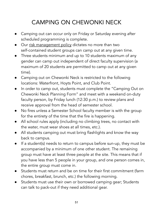# CAMPING ON CHEWONKI NECK

- <span id="page-50-0"></span>● Camping out can occur only on Friday or Saturday evening after scheduled programming is complete.
- Our risk management policy dictates no more than two self-contained student groups can camp out at any given time.
- Three students minimum and up to 10 students maximum of any gender can camp out independent of direct faculty supervision (a maximum of 20 students are permitted to camp out at any given time).
- Camping out on Chewonki Neck is restricted to the following locations: Waterfront, Hoyts Point, and Club Point.
- In order to camp out, students must complete the "Camping Out on Chewonki Neck Planning Form" and meet with a weekend on-duty faculty person, by Friday lunch (12:30 p.m.) to review plans and receive approval from the head of semester school.
- No fires unless a Semester School faculty member is with the group for the entirety of the time that the fire is happening.
- All school rules apply (including no climbing trees, no contact with the water, must wear shoes at all times, etc.).
- All students camping out must bring flashlights and know the way back to campus.
- If a student(s) needs to return to campus before sun-up, they must be accompanied by a minimum of one other student. The remaining group must have at least three people at the site. This means that if you have less than 5 people in your group, and one person comes in, the entire group must come in.
- Students must return and be on time for their first commitment (farm chores, breakfast, brunch, etc.) the following morning.
- Students must use their own or borrowed camping gear; Students can talk to pack-out if they need additional gear.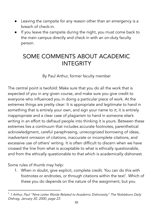- Leaving the campsite for any reason other than an emergency is a breach of check-in.
- If you leave the campsite during the night, you must come back to the main campus directly and check in with an on-duty faculty person.

## <span id="page-51-0"></span>SOME COMMENTS ABOUT ACADEMIC **INTEGRITY**

By Paul Arthur, former faculty member

The central point is twofold: Make sure that you do all the work that is expected of you in any given course, and make sure you give credit to everyone who influenced you in doing a particular piece of work. At the extremes things are pretty clear: It is appropriate and legitimate to hand in something that is entirely your own, and sign your name to it; it is entirely inappropriate and a clear case of plagiarism to hand in someone else's writing in an effort to defraud people into thinking it is yours. Between these extremes lies a continuum that includes accurate footnotes, parenthetical acknowledgment, careful paraphrasing, unrecognized borrowing of ideas, inadvertent omission of citations, inaccurate or incomplete citations, and excessive use of others' writing. It is often difficult to discern when we have crossed the line from what is acceptable to what is ethically questionable, and from the ethically questionable to that which is academically dishonest.

Some rules of thumb may help:

1. When in doubt, give explicit, complete credit. You can do this with footnotes or endnotes, or through citations within the text<sup>1</sup>. Which of these you do depends on the nature of the assignment, but you

<sup>&</sup>lt;sup>1</sup> 1 Arthur, Paul "Nine Letter Words Related to Academic Dishonesty" The Nobleboro Daily Dishrag, January 30, 2000, page 23.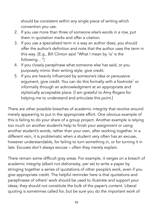should be consistent within any single piece of writing which convention you use.

- 2. If you use more than three of someone else's words in a row, put them in quotation marks and offer a citation.
- 3. If you use a specialized term in a way an author does, you should offer the author's definition and note that the author uses the term in this way. [E.g., Bill Clinton said "What I mean by 'is' is the following…"]
- 4. If you closely paraphrase what someone else has said, or you purposely mimic their writing style, give credit.
- 5. If you are heavily influenced by someone's idea or persuasive argument, give credit. You can do this formally with a footnote <sup>1</sup> or informally through an acknowledgment at an appropriate and stylistically acceptable place. [I am grateful to Amy Rogers for helping me to understand and articulate this point.]

There are other possible breaches of academic integrity that revolve around merely appearing to put in the appropriate effort. One obvious example of this is failing to do your share of a group project. Another example is relying too much on another student's help to finish your assignment or using another student's words, rather than your own, after working together. In a different vein, it is problematic when a student very often has an excuse, however understandable, for failing to turn something in, or for turning it in late. Excuses don't always excuse – often they merely explain.

There remain some difficult gray areas. For example, it verges on a breach of academic integrity (albeit not dishonesty, per se) to write a paper by stringing together a series of quotations of other people's work, even if you give appropriate credit. The helpful reminder here is that quotations and paraphrases of others' work should be used to illustrate and support your ideas; they should not constitute the bulk of the paper's content. Liberal quoting is sometimes called for, but be sure you do the important work of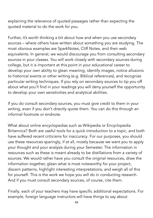explaining the relevance of quoted passages rather than expecting the quoted material to do the work for you.

Further, it's worth thinking a bit about how and when you use secondary sources – where others have written about something you are studying. The most obvious examples are SparkNotes, Cliff Notes, and their web equivalents. In general, we would discourage you from consulting secondary sources in your classes. You will work closely with secondary sources during college, but it is important at this point in your educational career to develop your own ability to glean meaning, identify images, notice allusions to historical events or other writing (e.g. Biblical references), and recognize particular writing techniques. If you rely on secondary sources to tip you off about what you'll find in your readings you will deny yourself the opportunity to develop your own sensitivities and analytical abilities.

If you do consult secondary sources, you must give credit to them in your writing, even if you don't directly quote them. You can do this through an informal footnote or endnote.

What about online encyclopedias such as Wikipedia or Encyclopedia Britannica? Both are useful tools for a quick introduction to a topic, and both have suffered recent criticisms for inaccuracy. For our purposes, you should use these resources sparingly, if at all, mostly because we want you to apply your thought and your analysis during your Semester. The information in resources such as these is meant already to be distillations from a variety of sources. We would rather have you consult the original resources, draw the information together, glean what is most noteworthy for your project, discern patterns, highlight interesting interpretations, and weigh all of this for yourself. This is the work we hope you will do in conducting research. And if you must consult secondary sources, of course, cite them.

Finally, each of your teachers may have specific additional expectations. For example, foreign language instructors will have things to say about